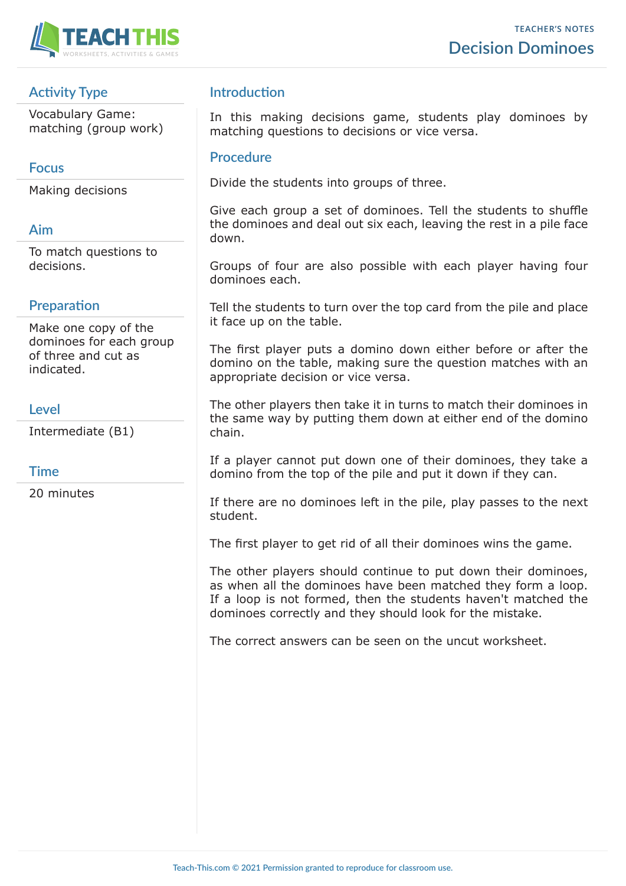

# **Activity Type**

Vocabulary Game: matching (group work)

### **Focus**

Making decisions

# **Aim**

To match questions to decisions.

# **Preparation**

Make one copy of the dominoes for each group of three and cut as indicated.

### **Level**

Intermediate (B1)

### **Time**

20 minutes

### **Introduction**

In this making decisions game, students play dominoes by matching questions to decisions or vice versa.

#### **Procedure**

Divide the students into groups of three.

Give each group a set of dominoes. Tell the students to shuffle the dominoes and deal out six each, leaving the rest in a pile face down.

Groups of four are also possible with each player having four dominoes each.

Tell the students to turn over the top card from the pile and place it face up on the table.

The first player puts a domino down either before or after the domino on the table, making sure the question matches with an appropriate decision or vice versa.

The other players then take it in turns to match their dominoes in the same way by putting them down at either end of the domino chain.

If a player cannot put down one of their dominoes, they take a domino from the top of the pile and put it down if they can.

If there are no dominoes left in the pile, play passes to the next student.

The first player to get rid of all their dominoes wins the game.

The other players should continue to put down their dominoes, as when all the dominoes have been matched they form a loop. If a loop is not formed, then the students haven't matched the dominoes correctly and they should look for the mistake.

The correct answers can be seen on the uncut worksheet.